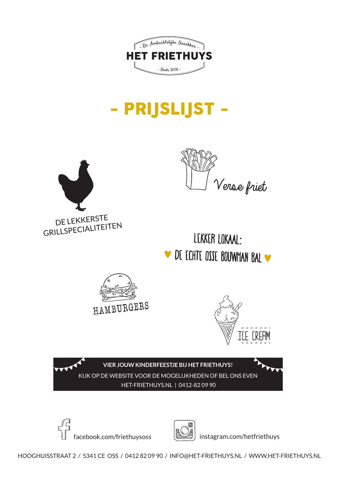

# - PRIJSLIJST -





LEKKER LOKAAI: DE ECHTE OSSE BOUWMAN BAL





**VIER JOUW KINDERFEESTJE BIJ HET FRIETHUYS!**  KIJK OP DE WEBSITE VOOR DE MOGELIJKHEDEN OF BEL ONS EVEN HET-FRIETHUYS.NL | 0412-82 09 90





facebook.com/friethuysoss instagram.com/hetfriethuys

HOOGHUISSTRAAT 2 / 5341 CE OSS / 0412 82 09 90 / INFO@HET-FRIETHUYS.NL / WWW.HET-FRIETHUYS.NL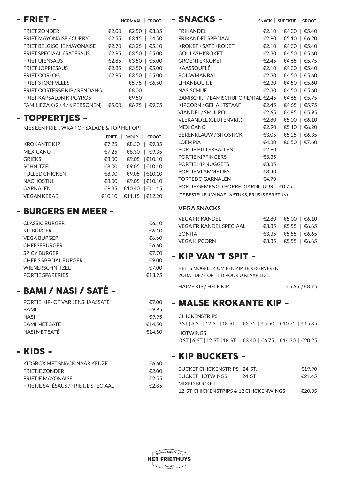| - FRIET -                         | NORMAAL   GROOT         |
|-----------------------------------|-------------------------|
| <b>FRIET ZONDER</b>               | €2.00   €2.50   €3.85   |
| <b>FRIET MAYONAISE / CURRY</b>    | €2.55   €3.15   €4.50   |
| <b>FRIET BELGISCHE MAYONAISE</b>  | €2.70   €3.25   €5.10   |
| FRIET SPECIAAL / SATÉSAUS         | €2.85   €3.50   €5.00   |
| <b>FRIFT UIFNSAUS</b>             | €2.85   €3.50   €5.00   |
| <b>FRIFT JOPPIFSAUS</b>           | €2.85   €3.50   €5.00   |
| <b>FRIET OORLOG</b>               | €2.85   €3.50   €5.00   |
| <b>FRIET STOOFVLEES</b>           | €5.75   €6.50           |
| <b>FRIET OOSTERSE KIP/RENDANG</b> | €8.00                   |
| <b>FRIET KAPSALON KIPGYROS</b>    | €9.50                   |
| FAMILIEZAK (2/4/6 PERSONEN)       | €6.75<br>€5.00<br>€9.75 |

#### - TOPPERTJES -

KIES EEN FRIET, WRAP OF SALADE & TOP HET OP!

|                     | FRIET   WRAP   GROOT     |
|---------------------|--------------------------|
| <b>KROKANTE KIP</b> | €7.25   €8.30   €9.35    |
| <b>MEXICANO</b>     | €7.25   €8.30   €9.35    |
| <b>GRIFKS</b>       | €8.00   €9.05   €10.10   |
| <b>SCHNITZEL</b>    | €8.00   €9.05   €10.10   |
| PULLED CHICKEN      | €8.00   €9.05   €10.10   |
| <b>NACHOSTIJL</b>   | €8.00   €9.05   €10.10   |
| GARNALEN            | €9.35   €10.40   €11.45  |
| <b>VEGAN KEBAB</b>  | €10.10   €11.15   €12.20 |
|                     |                          |

#### - BURGERS EN MEER -

| <b>CLASSIC BURGER</b>        | €6.10  |
|------------------------------|--------|
| <b>KIPBURGER</b>             | €6.10  |
| <b>VEGA BURGER</b>           | €6.60  |
| <b>CHEESEBURGER</b>          | €6.60  |
| <b>SPICY BURGER</b>          | €7.70  |
| <b>CHEF'S SPECIAL BURGER</b> | €9.00  |
| <b>WIENERSCHNITZEL</b>       | €7.00  |
| PORTIE SPARERIBS             | €13.95 |

#### - BAMI / NASI / SATÉ -

| PORTIF KIP- OF VARKENSHAASSATÉ | €700   |
|--------------------------------|--------|
| <b>BAMI</b>                    | €9.95  |
| <b>NASI</b>                    | €9.95  |
| <b>BAMI MFT SATÉ</b>           | €14.50 |
| NASI MET SATÉ                  | €14.50 |

#### - KIDS -

| €6.60 |
|-------|
| €2.00 |
| €2.55 |
| €285  |
|       |

| - SNACKS -                                             | SNACK   SUPERTJE   GROOT |
|--------------------------------------------------------|--------------------------|
| <b>FRIKANDFI</b>                                       | €2.10   €4.30   €5.40    |
| <b>FRIKANDEL SPECIAAL</b>                              | €2.90   €5.10   €6.20    |
| KROKFT / SATÉKROKFT                                    | €2.10   €4.30   €5.40    |
| GOUI ASHKROKFT                                         | €2.30   €4.50   €5.60    |
| <b>GROFNTFKROKFT</b>                                   | €2.45   €4.65   €5.75    |
| KAASSOUFI É                                            | €2.10   €4.30   €5.40    |
| <b>BOUWMANBAL</b>                                      | €2.30   €4.50   €5.60    |
| <b>LIHANBOUTIF</b>                                     | €2.30   €4.50   €5.60    |
| <b>NASISCHIJF</b>                                      | €2.30   €4.50   €5.60    |
| BAMISCHIJF / BAMISCHIJF ORIËNTAL €2.45   €4.65   €5.75 |                          |
| KIPCORN / GFHAKTSTAAF                                  | €2.45   €4.65   €5.75    |
| VIANDEL / SMULROL                                      | €2.65   €4.85   €5.95    |
| <b>VLEKANDEL (GLUTENVRIJ)</b>                          | €2.80   €5.00   €6.10    |
| <b>MFXICANO</b>                                        | €2.90   €5.10   €6.20    |
| <b>BERENKI AUW / SITOSTICK</b>                         | €3.05   €5.25   €6.35    |
| <b>I OFMPIA</b>                                        | €4.30   €6.50   €7.60    |
| PORTIF BITTFRBALLEN                                    | €2.90                    |
| PORTIF KIPFINGFRS                                      | €3.35                    |
| PORTIF KIPNUGGFTS                                      | €3.35                    |
| PORTIF VI AMMETIES                                     | €3.40                    |
| <b>TORPEDO GARNALEN</b>                                | €4.70                    |
| PORTIF GEMENGD BORREI GARNITUUR $\epsilon$ 0.75        |                          |
| (TE BESTELLEN VANAF 16 STUKS, PRIJS IS PER STUK)       |                          |
|                                                        |                          |

#### **VEGA SNACKS**

| VFGA FRIKANDFI          | €2.80   €5.00   €6.10 |
|-------------------------|-----------------------|
| VEGA FRIKANDEL SPECIAAL | €3.35   €5.55   €6.65 |
| <b>BONITA</b>           | €3.35   €5.55   €6.65 |
| VEGA KIPCORN            | €3.35   €5.55   €6.65 |
|                         |                       |

#### - KIP VAN 'T SPIT -

 het is mogelijk om een kip te reserveren zodat deze op tijd voor <sup>u</sup> klaar ligt.

HALVE KIP / HELE KIP  $65.65 / 68.75$ 

#### - MALSE KROKANTE KIP -

| <b>CHICKENSTRIPS</b> | $3ST.$   6 ST.  12 ST.  18 ST. €2.75   €5.50   €10.75   €15.85    |
|----------------------|-------------------------------------------------------------------|
| <b>HOTWINGS</b>      |                                                                   |
|                      | $3$ ST.   6 ST.   12 ST.   18 ST. €3.40   €6.75   €14.30   €20.25 |

#### - KIP BUCKETS -

| BUCKET HOTWINGS<br>24 ST              | €2145  |
|---------------------------------------|--------|
| MIXED BUCKET                          |        |
| 12 ST CHICKENSTRIPS & 12 CHICKENWINGS | €20.35 |